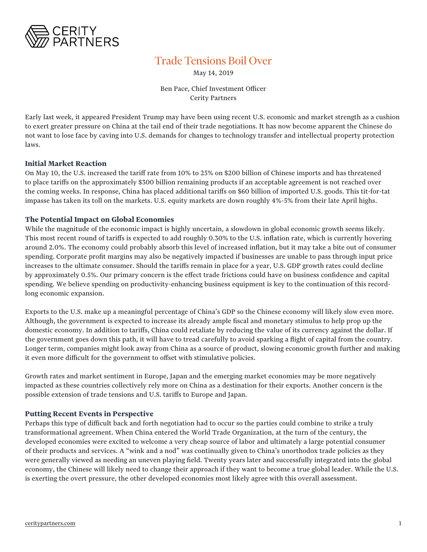

## Trade Tensions Boil Over

May 14, 2019

Ben Pace, Chief Investment Officer Cerity Partners

Early last week, it appeared President Trump may have been using recent U.S. economic and market strength as a cushion to exert greater pressure on China at the tail end of their trade negotiations. It has now become apparent the Chinese do not want to lose face by caving into U.S. demands for changes to technology transfer and intellectual property protection laws.

## **Initial Market Reaction**

On May 10, the U.S. increased the tariff rate from 10% to 25% on \$200 billion of Chinese imports and has threatened to place tariffs on the approximately \$300 billion remaining products if an acceptable agreement is not reached over the coming weeks. In response, China has placed additional tariffs on \$60 billion of imported U.S. goods. This tit-for-tat impasse has taken its toll on the markets. U.S. equity markets are down roughly 4%-5% from their late April highs.

## **The Potential Impact on Global Economies**

While the magnitude of the economic impact is highly uncertain, a slowdown in global economic growth seems likely. This most recent round of tariffs is expected to add roughly 0.30% to the U.S. inflation rate, which is currently hovering around 2.0%. The economy could probably absorb this level of increased inflation, but it may take a bite out of consumer spending. Corporate profit margins may also be negatively impacted if businesses are unable to pass through input price increases to the ultimate consumer. Should the tariffs remain in place for a year, U.S. GDP growth rates could decline by approximately 0.5%. Our primary concern is the effect trade frictions could have on business confidence and capital spending. We believe spending on productivity-enhancing business equipment is key to the continuation of this recordlong economic expansion.

Exports to the U.S. make up a meaningful percentage of China's GDP so the Chinese economy will likely slow even more. Although, the government is expected to increase its already ample fiscal and monetary stimulus to help prop up the domestic economy. In addition to tariffs, China could retaliate by reducing the value of its currency against the dollar. If the government goes down this path, it will have to tread carefully to avoid sparking a flight of capital from the country. Longer term, companies might look away from China as a source of product, slowing economic growth further and making it even more difficult for the government to offset with stimulative policies.

Growth rates and market sentiment in Europe, Japan and the emerging market economies may be more negatively impacted as these countries collectively rely more on China as a destination for their exports. Another concern is the possible extension of trade tensions and U.S. tariffs to Europe and Japan.

## **Putting Recent Events in Perspective**

Perhaps this type of difficult back and forth negotiation had to occur so the parties could combine to strike a truly transformational agreement. When China entered the World Trade Organization, at the turn of the century, the developed economies were excited to welcome a very cheap source of labor and ultimately a large potential consumer of their products and services. A "wink and a nod" was continually given to China's unorthodox trade policies as they were generally viewed as needing an uneven playing field. Twenty years later and successfully integrated into the global economy, the Chinese will likely need to change their approach if they want to become a true global leader. While the U.S. is exerting the overt pressure, the other developed economies most likely agree with this overall assessment.